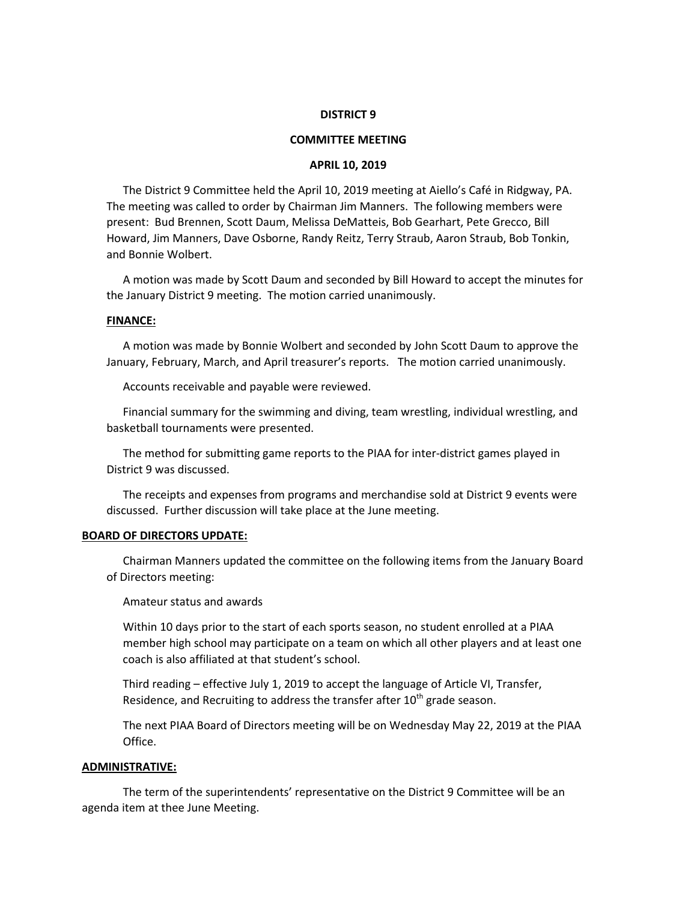## **DISTRICT 9**

## **COMMITTEE MEETING**

#### **APRIL 10, 2019**

The District 9 Committee held the April 10, 2019 meeting at Aiello's Café in Ridgway, PA. The meeting was called to order by Chairman Jim Manners. The following members were present: Bud Brennen, Scott Daum, Melissa DeMatteis, Bob Gearhart, Pete Grecco, Bill Howard, Jim Manners, Dave Osborne, Randy Reitz, Terry Straub, Aaron Straub, Bob Tonkin, and Bonnie Wolbert.

A motion was made by Scott Daum and seconded by Bill Howard to accept the minutes for the January District 9 meeting. The motion carried unanimously.

### **FINANCE:**

A motion was made by Bonnie Wolbert and seconded by John Scott Daum to approve the January, February, March, and April treasurer's reports. The motion carried unanimously.

Accounts receivable and payable were reviewed.

Financial summary for the swimming and diving, team wrestling, individual wrestling, and basketball tournaments were presented.

The method for submitting game reports to the PIAA for inter-district games played in District 9 was discussed.

The receipts and expenses from programs and merchandise sold at District 9 events were discussed. Further discussion will take place at the June meeting.

#### **BOARD OF DIRECTORS UPDATE:**

Chairman Manners updated the committee on the following items from the January Board of Directors meeting:

Amateur status and awards

Within 10 days prior to the start of each sports season, no student enrolled at a PIAA member high school may participate on a team on which all other players and at least one coach is also affiliated at that student's school.

Third reading – effective July 1, 2019 to accept the language of Article VI, Transfer, Residence, and Recruiting to address the transfer after  $10<sup>th</sup>$  grade season.

The next PIAA Board of Directors meeting will be on Wednesday May 22, 2019 at the PIAA Office.

#### **ADMINISTRATIVE:**

The term of the superintendents' representative on the District 9 Committee will be an agenda item at thee June Meeting.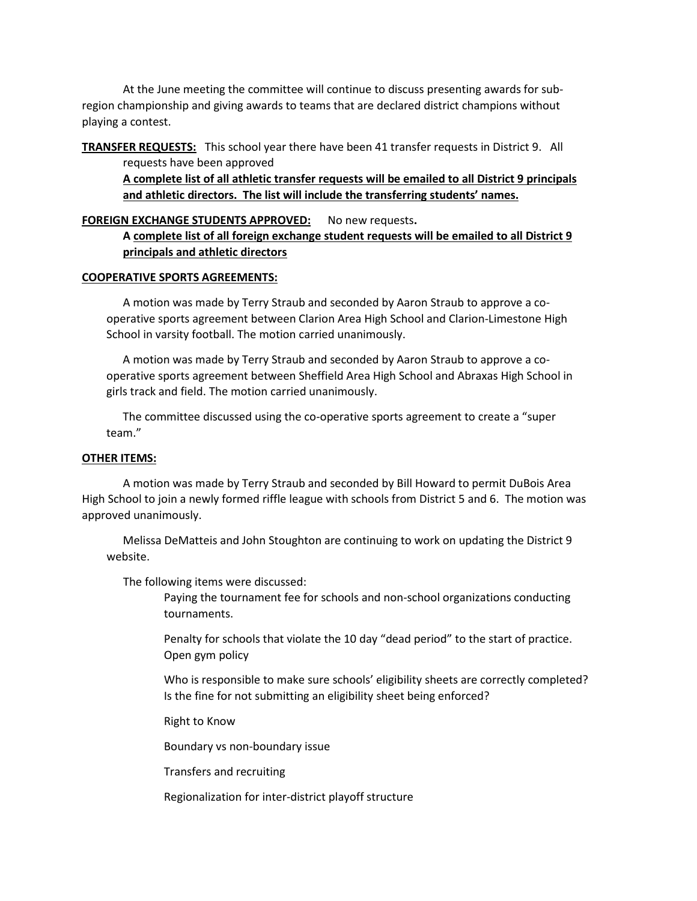At the June meeting the committee will continue to discuss presenting awards for subregion championship and giving awards to teams that are declared district champions without playing a contest.

**TRANSFER REQUESTS:** This school year there have been 41 transfer requests in District 9. All requests have been approved

**A complete list of all athletic transfer requests will be emailed to all District 9 principals and athletic directors. The list will include the transferring students' names.**

# **FOREIGN EXCHANGE STUDENTS APPROVED:** No new requests**.**

**A complete list of all foreign exchange student requests will be emailed to all District 9 principals and athletic directors**

## **COOPERATIVE SPORTS AGREEMENTS:**

A motion was made by Terry Straub and seconded by Aaron Straub to approve a cooperative sports agreement between Clarion Area High School and Clarion-Limestone High School in varsity football. The motion carried unanimously.

A motion was made by Terry Straub and seconded by Aaron Straub to approve a cooperative sports agreement between Sheffield Area High School and Abraxas High School in girls track and field. The motion carried unanimously.

The committee discussed using the co-operative sports agreement to create a "super team."

# **OTHER ITEMS:**

A motion was made by Terry Straub and seconded by Bill Howard to permit DuBois Area High School to join a newly formed riffle league with schools from District 5 and 6. The motion was approved unanimously.

Melissa DeMatteis and John Stoughton are continuing to work on updating the District 9 website.

The following items were discussed:

Paying the tournament fee for schools and non-school organizations conducting tournaments.

Penalty for schools that violate the 10 day "dead period" to the start of practice. Open gym policy

Who is responsible to make sure schools' eligibility sheets are correctly completed? Is the fine for not submitting an eligibility sheet being enforced?

Right to Know

Boundary vs non-boundary issue

Transfers and recruiting

Regionalization for inter-district playoff structure